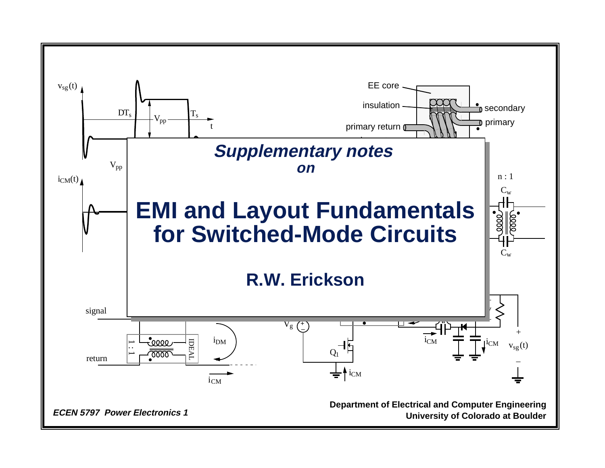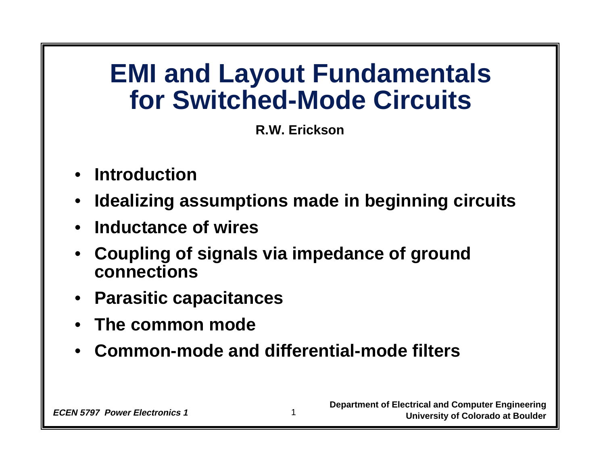### **EMI and Layout Fundamentals for Switched-Mode Circuits**

**R.W. Erickson**

- **Introduction**
- $\bullet$ **Idealizing assumptions made in beginning circuits**
- **Inductance of wires**
- • **Coupling of signals via impedance of ground connections**
- **Parasitic capacitances**
- •**The common mode**
- •**Common-mode and differential-mode filters**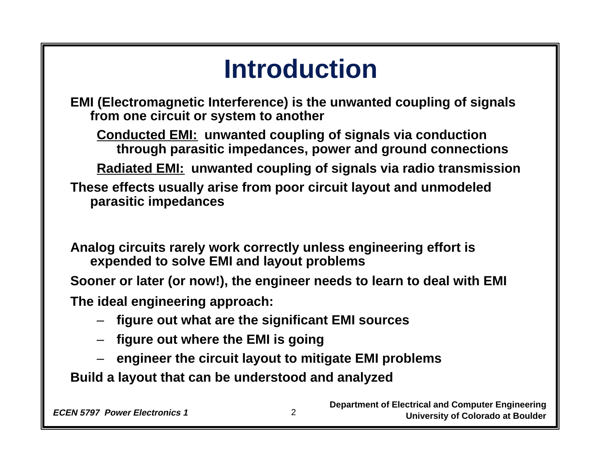# **Introduction**

**EMI (Electromagnetic Interference) is the unwanted coupling of signals from one circuit or system to another**

**Conducted EMI: unwanted coupling of signals via conduction through parasitic impedances, power and ground connections**

**Radiated EMI: unwanted coupling of signals via radio transmission**

**These effects usually arise from poor circuit layout and unmodeled parasitic impedances**

**Analog circuits rarely work correctly unless engineering effort is expended to solve EMI and layout problems**

**Sooner or later (or now!), the engineer needs to learn to deal with EMI The ideal engineering approach:**

2

- –**figure out what are the significant EMI sources**
- **figure out where the EMI is going**
- **engineer the circuit layout to mitigate EMI problems**

**Build a layout that can be understood and analyzed**

**Department of Electrical and Computer Engineering ECEN 5797 Power Electronics 1** 2 **1.1 COLORET 1.1 COLORET 1.1 COLORET 1.1 COLORET 1.1 COLORET 1.1 COLORET 1.1 COLORET 1.1 COLORET 1.1 COLORET 1.1 COLORET 1.1 COLORET 1.1 COLORET 1.1 COLORET 1.1 COLORET 1.1 COLORET 1.1 COL**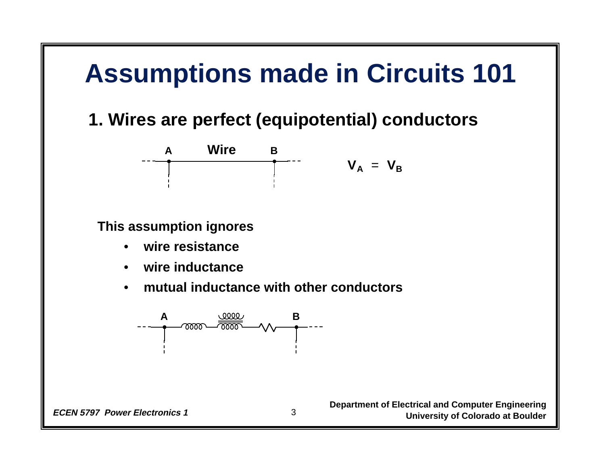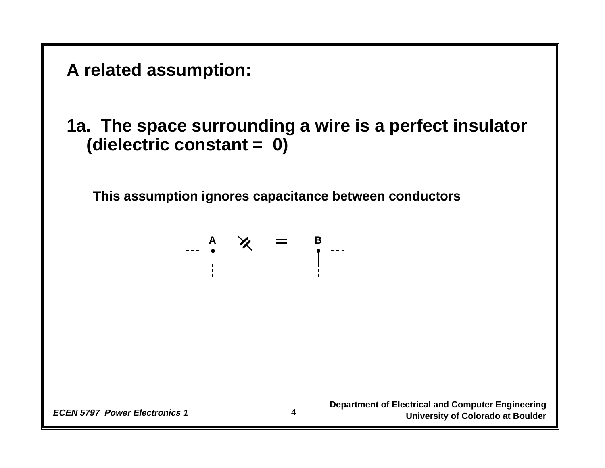

**1a. The space surrounding a wire is a perfect insulator (dielectric constant = 0)**

**This assumption ignores capacitance between conductors**

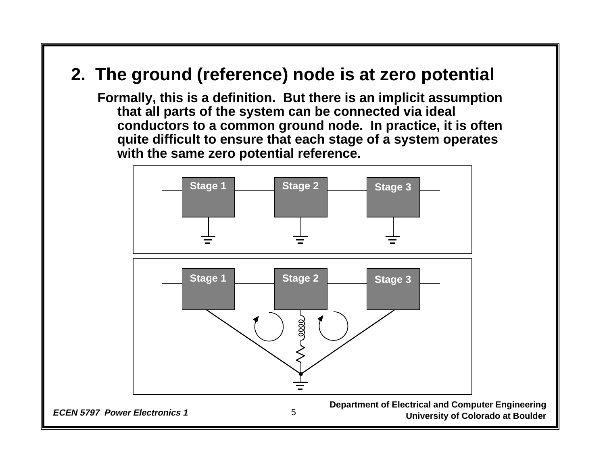#### **2. The ground (reference) node is at zero potential**

**Formally, this is a definition. But there is an implicit assumption that all parts of the system can be connected via ideal conductors to a common ground node. In practice, it is often quite difficult to ensure that each stage of a system operates with the same zero potential reference.**

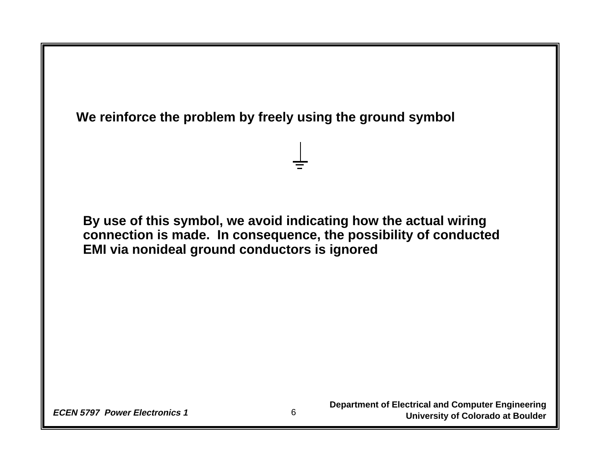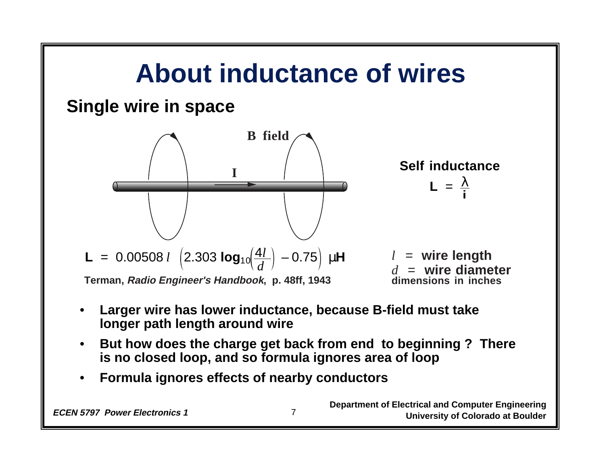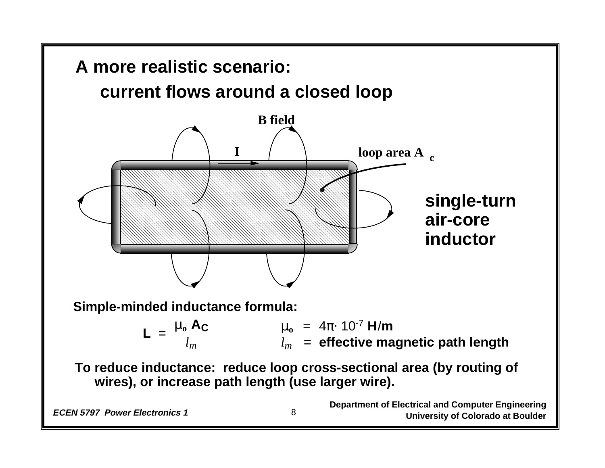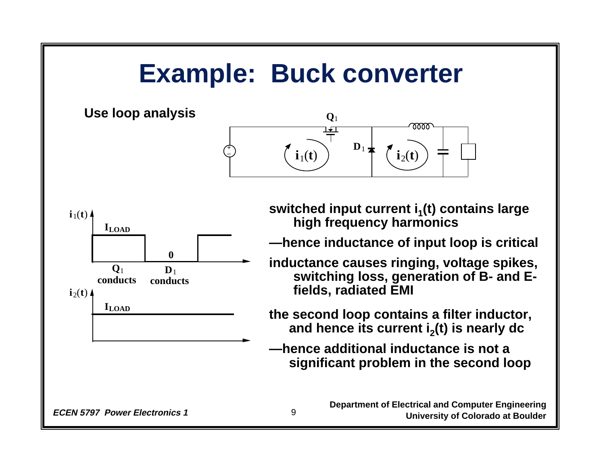# **Example: Buck converter**





switched input current i<sub>1</sub>(t) contains large **high frequency harmonics**

**—hence inductance of input loop is critical**

**inductance causes ringing, voltage spikes, switching loss, generation of B- and Efields, radiated EMI**

**the second loop contains a filter inductor, and hence its current i 2(t) is nearly dc**

**—hence additional inductance is not a significant problem in the second loop**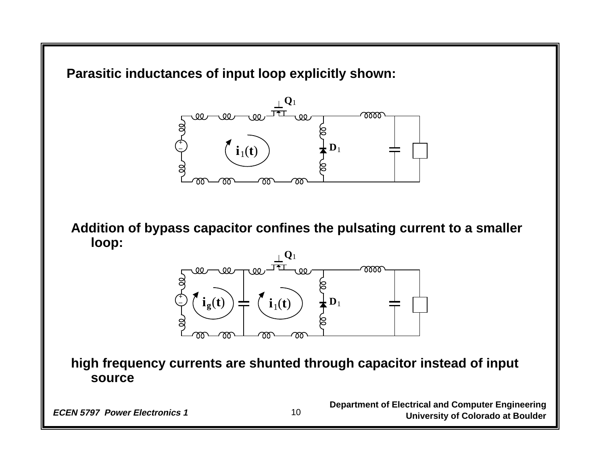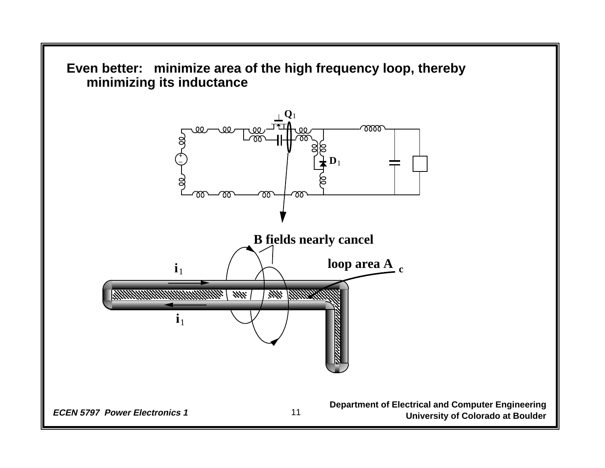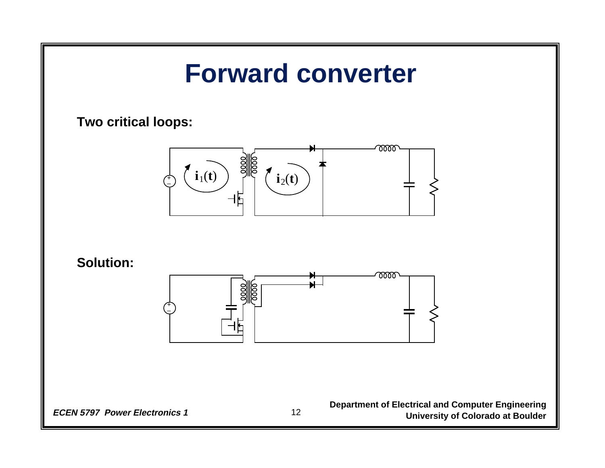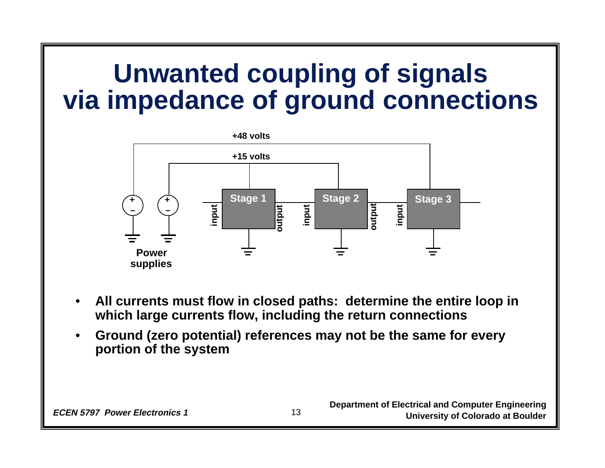### **Unwanted coupling of signals via impedance of ground connections**



- • **All currents must flow in closed paths: determine the entire loop in which large currents flow, including the return connections**
- • **Ground (zero potential) references may not be the same for every portion of the system**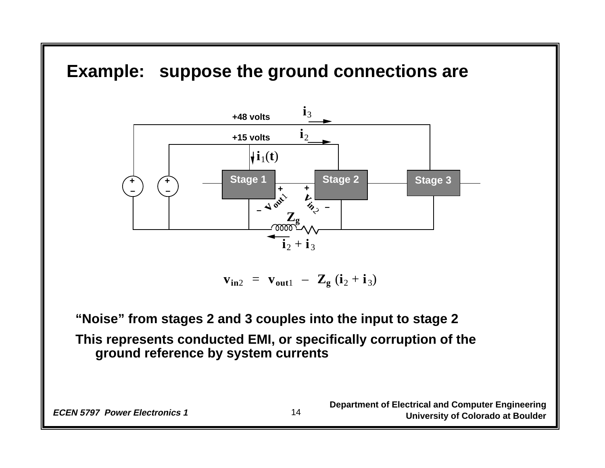#### **Example: suppose the ground connections are**



**<sub>in2</sub> =**  $**v**$ **<sub>out1</sub> –**  $**Z**$ **<sub>g</sub> (<b>i**<sub>2</sub> + **i**<sub>3</sub>)

**"Noise" from stages 2 and 3 couples into the input to stage 2 This represents conducted EMI, or specifically corruption of the ground reference by system currents**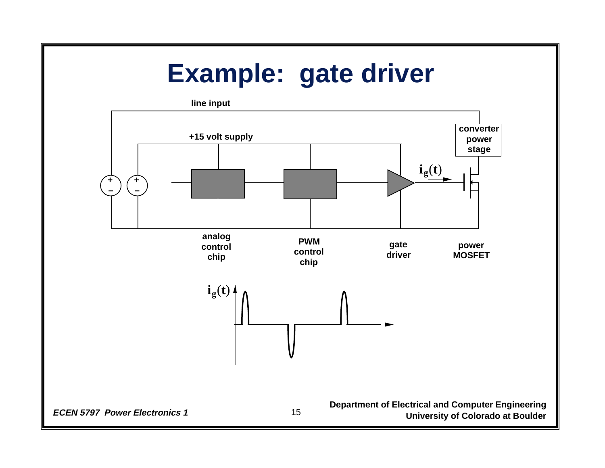## **Example: gate driver**

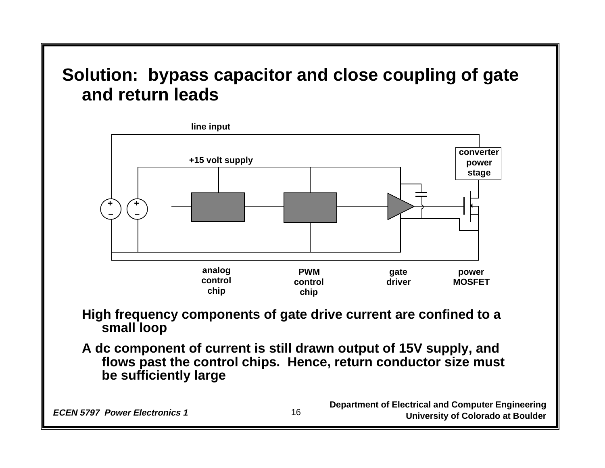#### **Solution: bypass capacitor and close coupling of gate and return leads**



#### **High frequency components of gate drive current are confined to a small loop**

**A dc component of current is still drawn output of 15V supply, and flows past the control chips. Hence, return conductor size must be sufficiently large**

**Department of Electrical and Computer Engineering ECEN 5797 Power Electronics 1** 16 16 **University of Colorado at Boulder**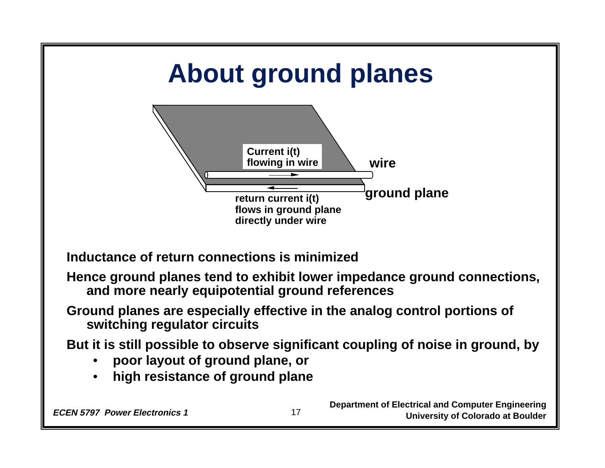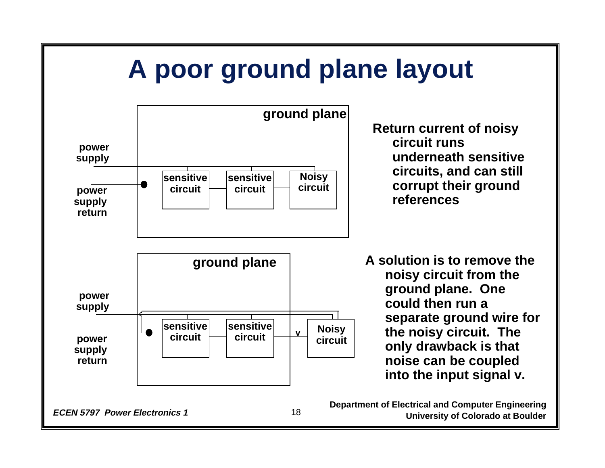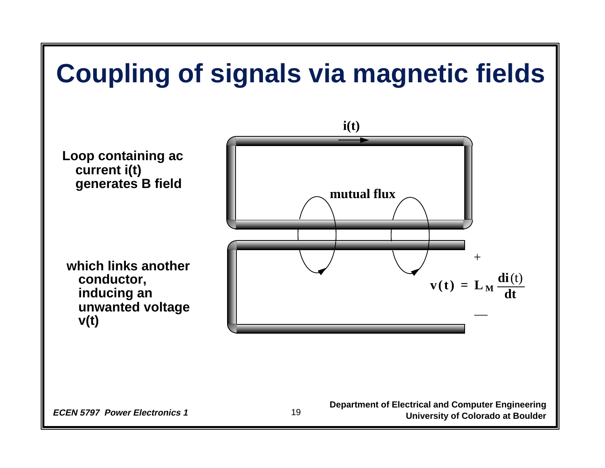

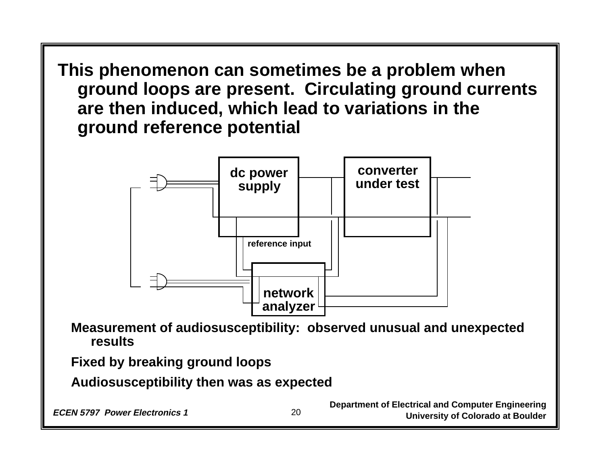**This phenomenon can sometimes be a problem when ground loops are present. Circulating ground currents are then induced, which lead to variations in the ground reference potential**



**Measurement of audiosusceptibility: observed unusual and unexpected results**

**Fixed by breaking ground loops**

**Audiosusceptibility then was as expected**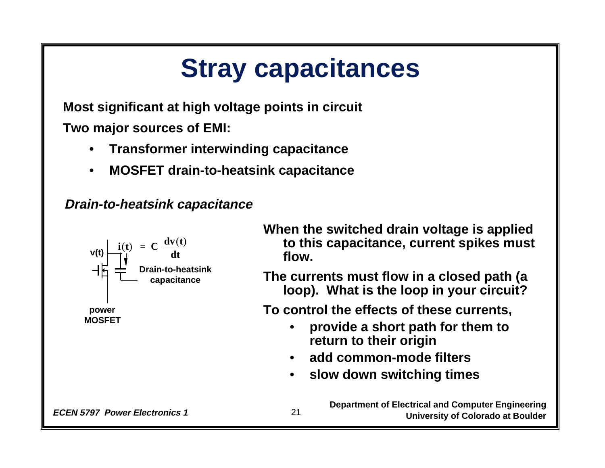# **Stray capacitances**

**Most significant at high voltage points in circuit Two major sources of EMI:**

- **Transformer interwinding capacitance**
- •**MOSFET drain-to-heatsink capacitance**

**Drain-to-heatsink capacitance**



**When the switched drain voltage is applied to this capacitance, current spikes must flow.**

**The currents must flow in a closed path (a loop). What is the loop in your circuit?**

**To control the effects of these currents,**

- • **provide a short path for them to return to their origin**
- •**add common-mode filters**
- •**slow down switching times**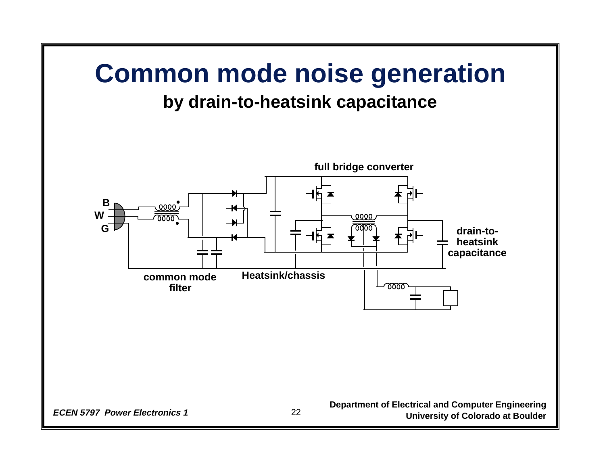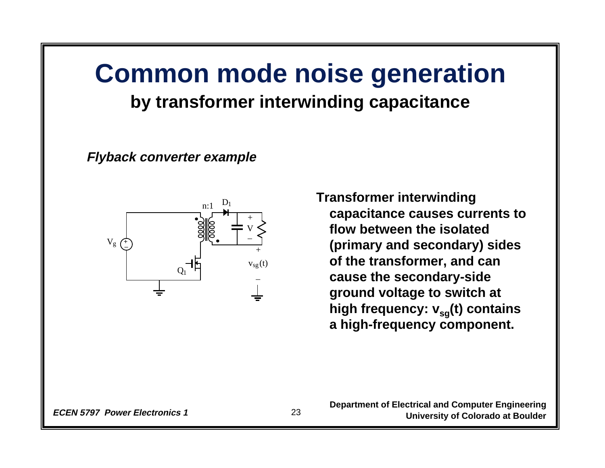### **Common mode noise generation by transformer interwinding capacitance**

**Flyback converter example**



**Transformer interwinding capacitance causes currents to flow between the isolated (primary and secondary) sides of the transformer, and can cause the secondary-side ground voltage to switch at**  high frequency:  $v_{sq}(t)$  contains **a high-frequency component.**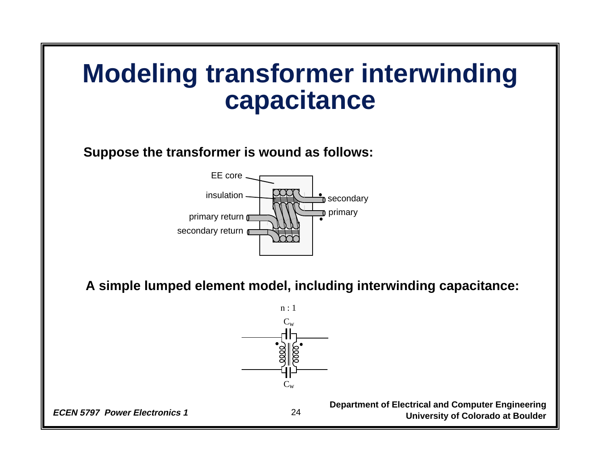### **Modeling transformer interwinding capacitance**

**Suppose the transformer is wound as follows:**



**A simple lumped element model, including interwinding capacitance:**

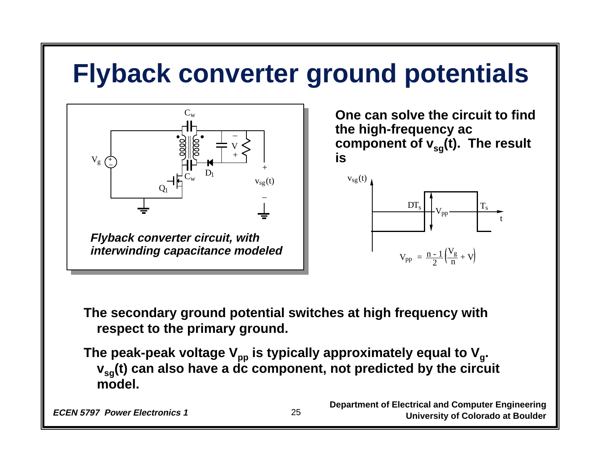# **Flyback converter ground potentials**



**model.**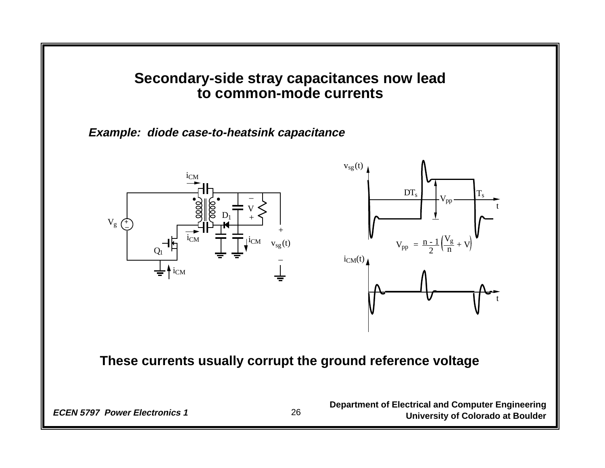#### **Secondary-side stray capacitances now lead to common-mode currents**

**Example: diode case-to-heatsink capacitance**





#### **These currents usually corrupt the ground reference voltage**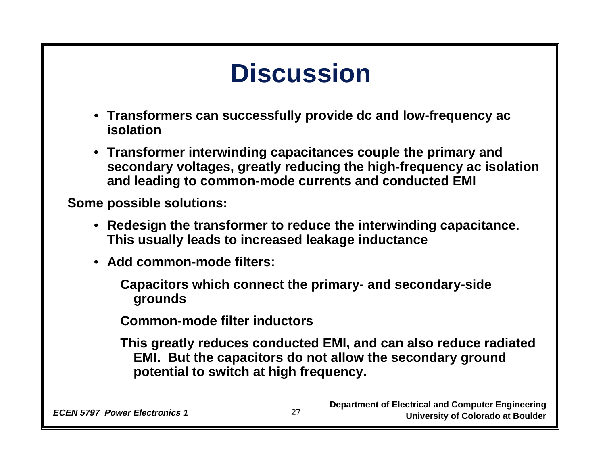# **Discussion**

- **Transformers can successfully provide dc and low-frequency ac isolation**
- **Transformer interwinding capacitances couple the primary and secondary voltages, greatly reducing the high-frequency ac isolation and leading to common-mode currents and conducted EMI**

**Some possible solutions:**

- **Redesign the transformer to reduce the interwinding capacitance. This usually leads to increased leakage inductance**
- **Add common-mode filters:**

**Capacitors which connect the primary- and secondary-side grounds**

**Common-mode filter inductors**

**This greatly reduces conducted EMI, and can also reduce radiated EMI. But the capacitors do not allow the secondary ground potential to switch at high frequency.**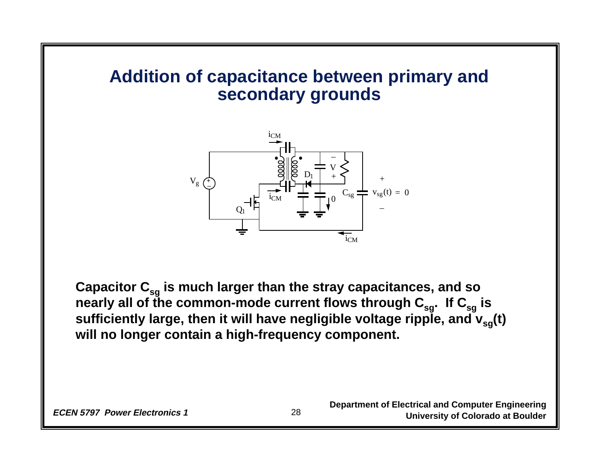#### **Addition of capacitance between primary and secondary grounds**



Capacitor C<sub>sg</sub> is much larger than the stray capacitances, and so nearly all of the common-mode current flows through C<sub>sg</sub>. If C<sub>sg</sub> is sufficiently large, then it will have negligible voltage ripple, and  $\mathbf{v}_{sg}$ (t) **will no longer contain a high-frequency component.**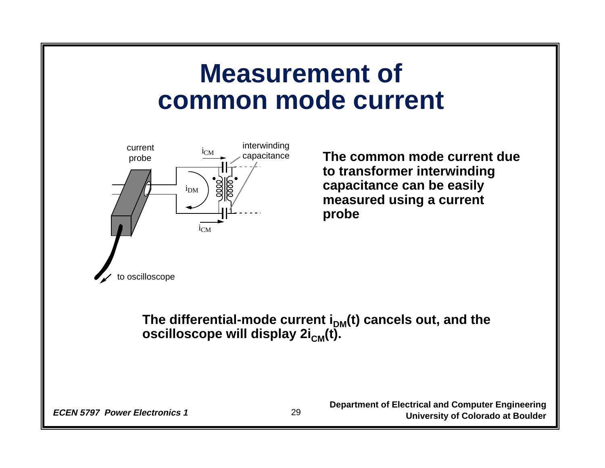### **Measurement of common mode current**



**The common mode current due to transformer interwinding capacitance can be easily measured using a current probe**

The differential-mode current i<sub>DM</sub>(t) cancels out, and the **oscilloscope will display 2i<sub>CM</sub>(t).**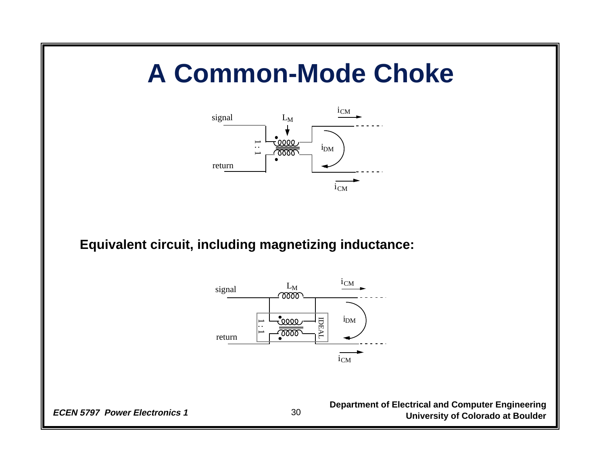## **A Common-Mode Choke**



**Equivalent circuit, including magnetizing inductance:**

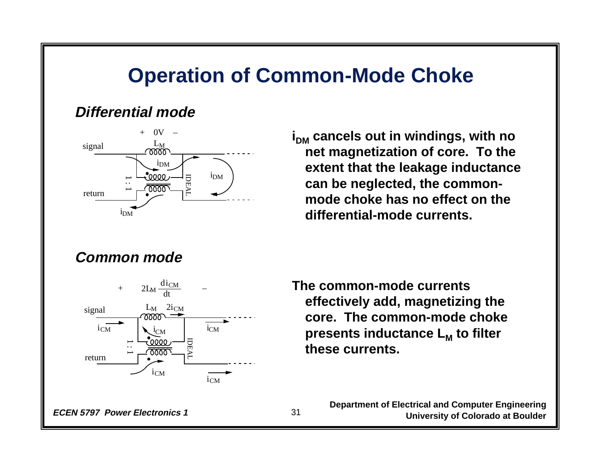#### **Operation of Common-Mode Choke**

#### **Differential mode**



**i<sub>DM</sub>** cancels out in windings, with no **net magnetization of core. To the extent that the leakage inductance can be neglected, the commonmode choke has no effect on the differential-mode currents.**

#### **Common mode**



**The common-mode currents effectively add, magnetizing the core. The common-mode choke presents inductance L <sup>M</sup>to filter these currents.**

**Department of Electrical and Computer Engineering ECEN 5797 Power Electronics 1** 31 31 University of Colorado at Boulder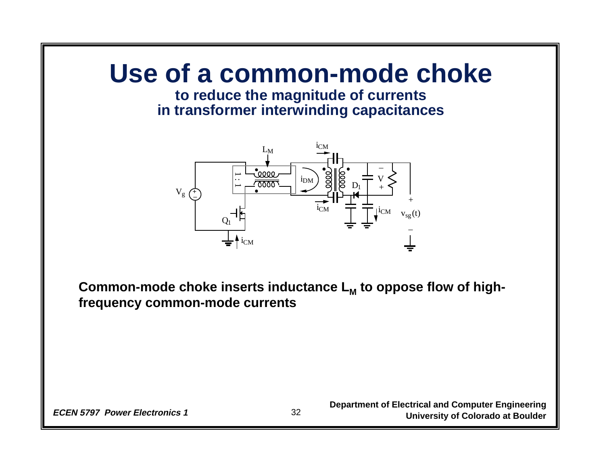# **Use of a common-mode choke**

#### **to reduce the magnitude of currents in transformer interwinding capacitances**



**Common-mode choke inserts inductance L M to oppose flow of highfrequency common-mode currents**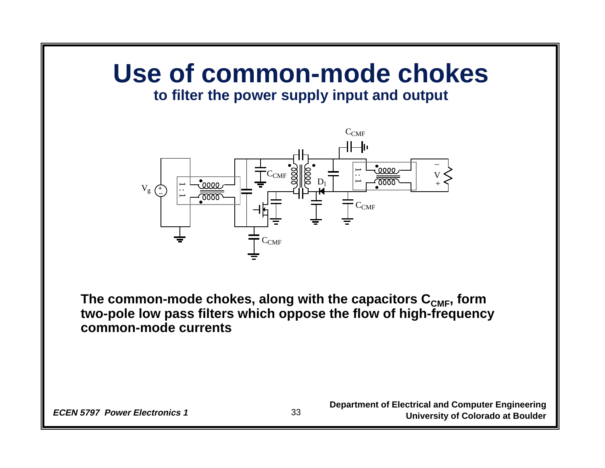# **Use of common-mode chokes**

#### **to filter the power supply input and output**



The common-mode chokes, along with the capacitors C<sub>CMF</sub>, form **two-pole low pass filters which oppose the flow of high-frequency common-mode currents**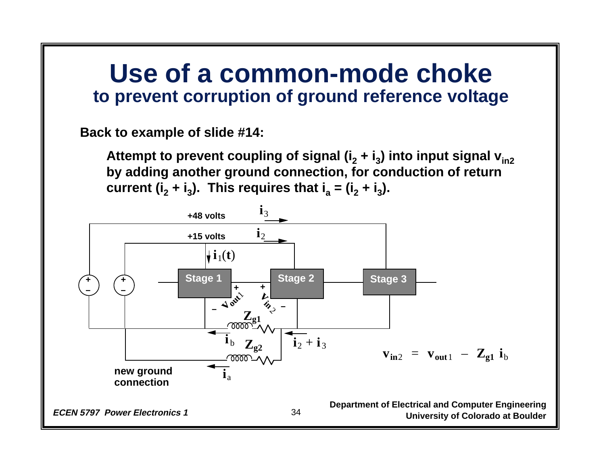### **Use of a common-mode choke to prevent corruption of ground reference voltage**

**Back to example of slide #14:**

**Attempt to prevent coupling of signal (i <sup>2</sup>+ i 3) into input signal vin2 by adding another ground connection, for conduction of return current (i <sup>2</sup>+ i 3). This requires that i <sup>a</sup>= (i <sup>2</sup>+ i 3).**

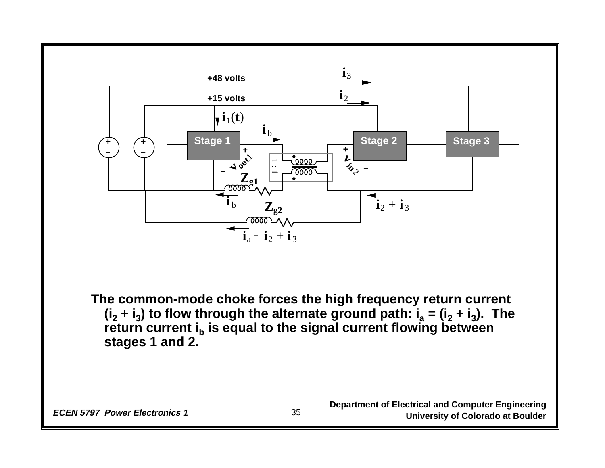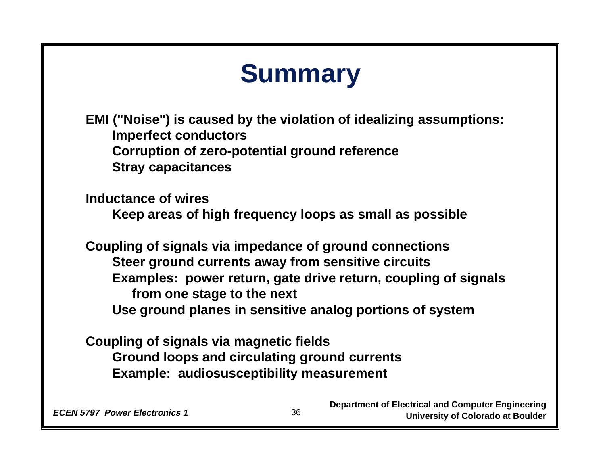#### **Department of Electrical and Computer Engineering Summary EMI ("Noise") is caused by the violation of idealizing assumptions: Imperfect conductors Corruption of zero-potential ground reference Stray capacitances Inductance of wires Keep areas of high frequency loops as small as possible Coupling of signals via impedance of ground connections Steer ground currents away from sensitive circuits Examples: power return, gate drive return, coupling of signals from one stage to the next Use ground planes in sensitive analog portions of system Coupling of signals via magnetic fields Ground loops and circulating ground currents Example: audiosusceptibility measurement**